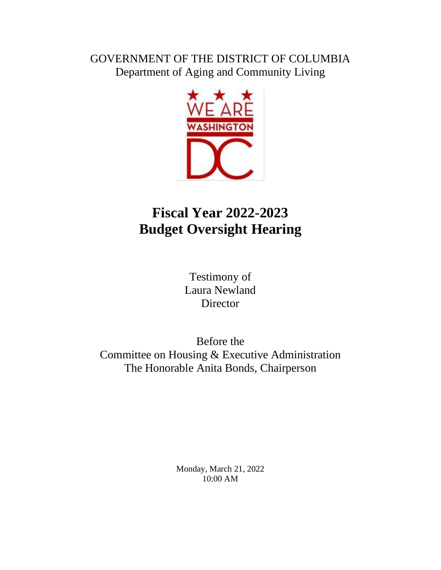## GOVERNMENT OF THE DISTRICT OF COLUMBIA Department of Aging and Community Living



# **Fiscal Year 2022-2023 Budget Oversight Hearing**

Testimony of Laura Newland Director

Before the Committee on Housing & Executive Administration The Honorable Anita Bonds, Chairperson

> Monday, March 21, 2022 10:00 AM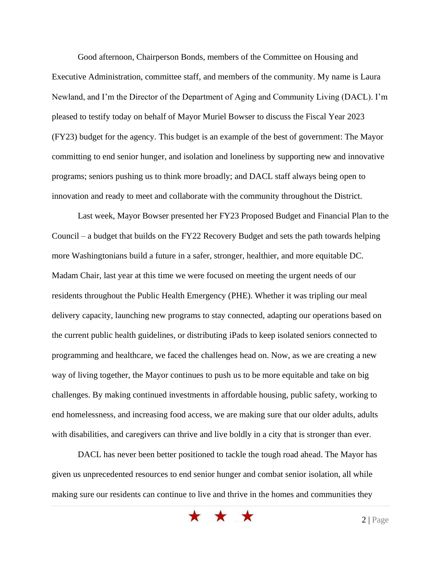Good afternoon, Chairperson Bonds, members of the Committee on Housing and Executive Administration, committee staff, and members of the community. My name is Laura Newland, and I'm the Director of the Department of Aging and Community Living (DACL). I'm pleased to testify today on behalf of Mayor Muriel Bowser to discuss the Fiscal Year 2023 (FY23) budget for the agency. This budget is an example of the best of government: The Mayor committing to end senior hunger, and isolation and loneliness by supporting new and innovative programs; seniors pushing us to think more broadly; and DACL staff always being open to innovation and ready to meet and collaborate with the community throughout the District.

Last week, Mayor Bowser presented her FY23 Proposed Budget and Financial Plan to the Council – a budget that builds on the FY22 Recovery Budget and sets the path towards helping more Washingtonians build a future in a safer, stronger, healthier, and more equitable DC. Madam Chair, last year at this time we were focused on meeting the urgent needs of our residents throughout the Public Health Emergency (PHE). Whether it was tripling our meal delivery capacity, launching new programs to stay connected, adapting our operations based on the current public health guidelines, or distributing iPads to keep isolated seniors connected to programming and healthcare, we faced the challenges head on. Now, as we are creating a new way of living together, the Mayor continues to push us to be more equitable and take on big challenges. By making continued investments in affordable housing, public safety, working to end homelessness, and increasing food access, we are making sure that our older adults, adults with disabilities, and caregivers can thrive and live boldly in a city that is stronger than ever.

DACL has never been better positioned to tackle the tough road ahead. The Mayor has given us unprecedented resources to end senior hunger and combat senior isolation, all while making sure our residents can continue to live and thrive in the homes and communities they

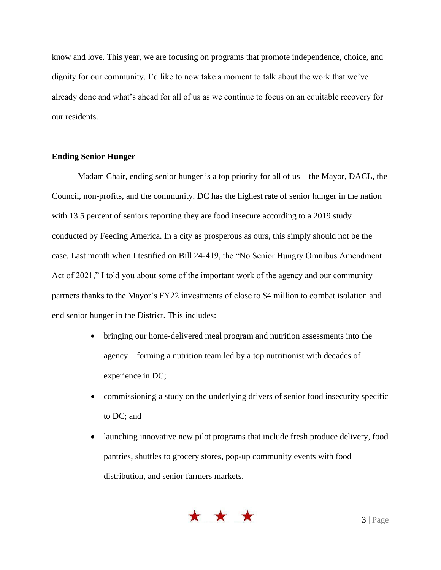know and love. This year, we are focusing on programs that promote independence, choice, and dignity for our community. I'd like to now take a moment to talk about the work that we've already done and what's ahead for all of us as we continue to focus on an equitable recovery for our residents.

### **Ending Senior Hunger**

Madam Chair, ending senior hunger is a top priority for all of us—the Mayor, DACL, the Council, non-profits, and the community. DC has the highest rate of senior hunger in the nation with 13.5 percent of seniors reporting they are food insecure according to a 2019 study conducted by Feeding America. In a city as prosperous as ours, this simply should not be the case. Last month when I testified on Bill 24-419, the "No Senior Hungry Omnibus Amendment Act of 2021," I told you about some of the important work of the agency and our community partners thanks to the Mayor's FY22 investments of close to \$4 million to combat isolation and end senior hunger in the District. This includes:

- bringing our home-delivered meal program and nutrition assessments into the agency—forming a nutrition team led by a top nutritionist with decades of experience in DC;
- commissioning a study on the underlying drivers of senior food insecurity specific to DC; and
- launching innovative new pilot programs that include fresh produce delivery, food pantries, shuttles to grocery stores, pop-up community events with food distribution, and senior farmers markets.

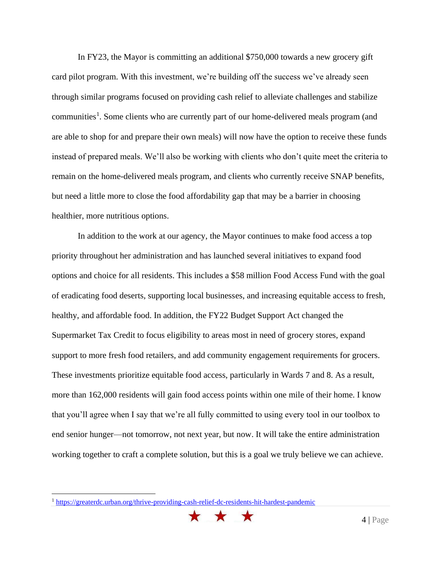In FY23, the Mayor is committing an additional \$750,000 towards a new grocery gift card pilot program. With this investment, we're building off the success we've already seen through similar programs focused on providing cash relief to alleviate challenges and stabilize communities<sup>1</sup>. Some clients who are currently part of our home-delivered meals program (and are able to shop for and prepare their own meals) will now have the option to receive these funds instead of prepared meals. We'll also be working with clients who don't quite meet the criteria to remain on the home-delivered meals program, and clients who currently receive SNAP benefits, but need a little more to close the food affordability gap that may be a barrier in choosing healthier, more nutritious options.

In addition to the work at our agency, the Mayor continues to make food access a top priority throughout her administration and has launched several initiatives to expand food options and choice for all residents. This includes a \$58 million Food Access Fund with the goal of eradicating food deserts, supporting local businesses, and increasing equitable access to fresh, healthy, and affordable food. In addition, the FY22 Budget Support Act changed the Supermarket Tax Credit to focus eligibility to areas most in need of grocery stores, expand support to more fresh food retailers, and add community engagement requirements for grocers. These investments prioritize equitable food access, particularly in Wards 7 and 8. As a result, more than 162,000 residents will gain food access points within one mile of their home. I know that you'll agree when I say that we're all fully committed to using every tool in our toolbox to end senior hunger—not tomorrow, not next year, but now. It will take the entire administration working together to craft a complete solution, but this is a goal we truly believe we can achieve.

<sup>1</sup> <https://greaterdc.urban.org/thrive-providing-cash-relief-dc-residents-hit-hardest-pandemic>

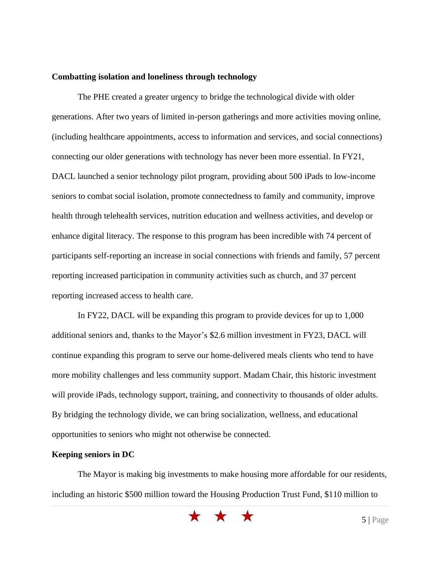#### **Combatting isolation and loneliness through technology**

The PHE created a greater urgency to bridge the technological divide with older generations. After two years of limited in-person gatherings and more activities moving online, (including healthcare appointments, access to information and services, and social connections) connecting our older generations with technology has never been more essential. In FY21, DACL launched a senior technology pilot program, providing about 500 iPads to low-income seniors to combat social isolation, promote connectedness to family and community, improve health through telehealth services, nutrition education and wellness activities, and develop or enhance digital literacy. The response to this program has been incredible with 74 percent of participants self-reporting an increase in social connections with friends and family, 57 percent reporting increased participation in community activities such as church, and 37 percent reporting increased access to health care.

In FY22, DACL will be expanding this program to provide devices for up to 1,000 additional seniors and, thanks to the Mayor's \$2.6 million investment in FY23, DACL will continue expanding this program to serve our home-delivered meals clients who tend to have more mobility challenges and less community support. Madam Chair, this historic investment will provide iPads, technology support, training, and connectivity to thousands of older adults. By bridging the technology divide, we can bring socialization, wellness, and educational opportunities to seniors who might not otherwise be connected.

#### **Keeping seniors in DC**

The Mayor is making big investments to make housing more affordable for our residents, including an historic \$500 million toward the Housing Production Trust Fund, \$110 million to

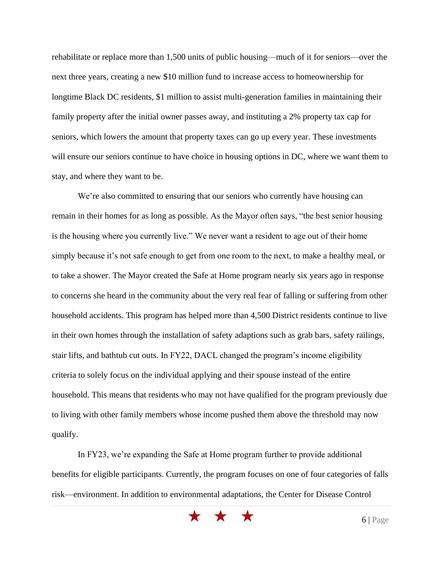rehabilitate or replace more than 1,500 units of public housing—much of it for seniors—over the next three years, creating a new \$10 million fund to increase access to homeownership for longtime Black DC residents, \$1 million to assist multi-generation families in maintaining their family property after the initial owner passes away, and instituting a 2% property tax cap for seniors, which lowers the amount that property taxes can go up every year. These investments will ensure our seniors continue to have choice in housing options in DC, where we want them to stay, and where they want to be.

We're also committed to ensuring that our seniors who currently have housing can remain in their homes for as long as possible. As the Mayor often says, "the best senior housing is the housing where you currently live." We never want a resident to age out of their home simply because it's not safe enough to get from one room to the next, to make a healthy meal, or to take a shower. The Mayor created the Safe at Home program nearly six years ago in response to concerns she heard in the community about the very real fear of falling or suffering from other household accidents. This program has helped more than 4,500 District residents continue to live in their own homes through the installation of safety adaptions such as grab bars, safety railings, stair lifts, and bathtub cut outs. In FY22, DACL changed the program's income eligibility criteria to solely focus on the individual applying and their spouse instead of the entire household. This means that residents who may not have qualified for the program previously due to living with other family members whose income pushed them above the threshold may now qualify.

In FY23, we're expanding the Safe at Home program further to provide additional benefits for eligible participants. Currently, the program focuses on one of four categories of falls risk—environment. In addition to environmental adaptations, the Center for Disease Control